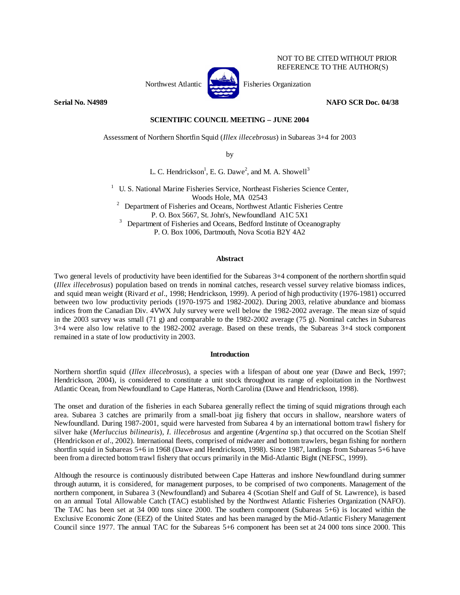

NOT TO BE CITED WITHOUT PRIOR REFERENCE TO THE AUTHOR(S)

# **Serial No. N4989 NAFO SCR Doc. 04/38**

# **SCIENTIFIC COUNCIL MEETING – JUNE 2004**

Assessment of Northern Shortfin Squid (*Illex illecebrosus*) in Subareas 3+4 for 2003

by

L. C. Hendrickson<sup>1</sup>, E. G. Dawe<sup>2</sup>, and M. A. Showell<sup>3</sup>

<sup>1</sup> U. S. National Marine Fisheries Service, Northeast Fisheries Science Center,

Woods Hole, MA 02543<br><sup>2</sup> Department of Fisheries and Oceans, Northwest Atlantic Fisheries Centre P. O. Box 5667, St. John's, Newfoundland A1C 5X1

<sup>3</sup> Department of Fisheries and Oceans, Bedford Institute of Oceanography P. O. Box 1006, Dartmouth, Nova Scotia B2Y 4A2

# **Abstract**

Two general levels of productivity have been identified for the Subareas 3+4 component of the northern shortfin squid (*Illex illecebrosus*) population based on trends in nominal catches, research vessel survey relative biomass indices, and squid mean weight (Rivard *et al*., 1998; Hendrickson, 1999). A period of high productivity (1976-1981) occurred between two low productivity periods (1970-1975 and 1982-2002). During 2003, relative abundance and biomass indices from the Canadian Div. 4VWX July survey were well below the 1982-2002 average. The mean size of squid in the 2003 survey was small (71 g) and comparable to the 1982-2002 average (75 g). Nominal catches in Subareas 3+4 were also low relative to the 1982-2002 average. Based on these trends, the Subareas 3+4 stock component remained in a state of low productivity in 2003.

### **Introduction**

Northern shortfin squid (*Illex illecebrosus*), a species with a lifespan of about one year (Dawe and Beck, 1997; Hendrickson, 2004), is considered to constitute a unit stock throughout its range of exploitation in the Northwest Atlantic Ocean, from Newfoundland to Cape Hatteras, North Carolina (Dawe and Hendrickson, 1998).

The onset and duration of the fisheries in each Subarea generally reflect the timing of squid migrations through each area. Subarea 3 catches are primarily from a small-boat jig fishery that occurs in shallow, nearshore waters of Newfoundland. During 1987-2001, squid were harvested from Subarea 4 by an international bottom trawl fishery for silver hake (*Merluccius bilinearis*), *I. illecebrosus* and argentine (*Argentina* sp.) that occurred on the Scotian Shelf (Hendrickson *et al*., 2002). International fleets, comprised of midwater and bottom trawlers, began fishing for northern shortfin squid in Subareas 5+6 in 1968 (Dawe and Hendrickson, 1998). Since 1987, landings from Subareas 5+6 have been from a directed bottom trawl fishery that occurs primarily in the Mid-Atlantic Bight (NEFSC, 1999).

Although the resource is continuously distributed between Cape Hatteras and inshore Newfoundland during summer through autumn, it is considered, for management purposes, to be comprised of two components. Management of the northern component, in Subarea 3 (Newfoundland) and Subarea 4 (Scotian Shelf and Gulf of St. Lawrence), is based on an annual Total Allowable Catch (TAC) established by the Northwest Atlantic Fisheries Organization (NAFO). The TAC has been set at 34 000 tons since 2000. The southern component (Subareas 5+6) is located within the Exclusive Economic Zone (EEZ) of the United States and has been managed by the Mid-Atlantic Fishery Management Council since 1977. The annual TAC for the Subareas 5+6 component has been set at 24 000 tons since 2000. This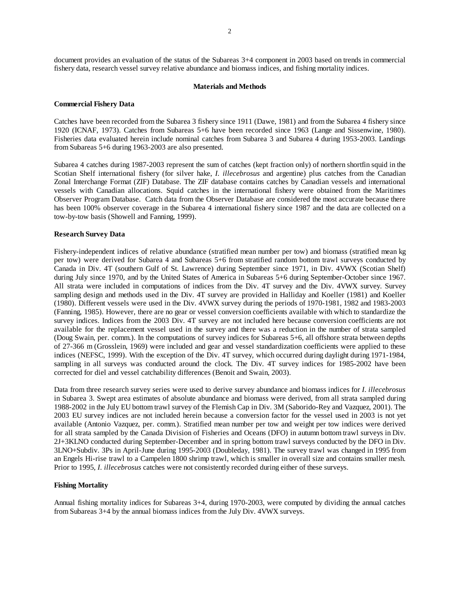document provides an evaluation of the status of the Subareas 3+4 component in 2003 based on trends in commercial fishery data, research vessel survey relative abundance and biomass indices, and fishing mortality indices.

#### **Materials and Methods**

#### **Commercial Fishery Data**

Catches have been recorded from the Subarea 3 fishery since 1911 (Dawe, 1981) and from the Subarea 4 fishery since 1920 (ICNAF, 1973). Catches from Subareas 5+6 have been recorded since 1963 (Lange and Sissenwine, 1980). Fisheries data evaluated herein include nominal catches from Subarea 3 and Subarea 4 during 1953-2003. Landings from Subareas 5+6 during 1963-2003 are also presented.

Subarea 4 catches during 1987-2003 represent the sum of catches (kept fraction only) of northern shortfin squid in the Scotian Shelf international fishery (for silver hake, *I. illecebrosus* and argentine) plus catches from the Canadian Zonal Interchange Format (ZIF) Database. The ZIF database contains catches by Canadian vessels and international vessels with Canadian allocations. Squid catches in the international fishery were obtained from the Maritimes Observer Program Database. Catch data from the Observer Database are considered the most accurate because there has been 100% observer coverage in the Subarea 4 international fishery since 1987 and the data are collected on a tow-by-tow basis (Showell and Fanning, 1999).

### **Research Survey Data**

Fishery-independent indices of relative abundance (stratified mean number per tow) and biomass (stratified mean kg per tow) were derived for Subarea 4 and Subareas 5+6 from stratified random bottom trawl surveys conducted by Canada in Div. 4T (southern Gulf of St. Lawrence) during September since 1971, in Div. 4VWX (Scotian Shelf) during July since 1970, and by the United States of America in Subareas 5+6 during September-October since 1967. All strata were included in computations of indices from the Div. 4T survey and the Div. 4VWX survey. Survey sampling design and methods used in the Div. 4T survey are provided in Halliday and Koeller (1981) and Koeller (1980). Different vessels were used in the Div. 4VWX survey during the periods of 1970-1981, 1982 and 1983-2003 (Fanning, 1985). However, there are no gear or vessel conversion coefficients available with which to standardize the survey indices. Indices from the 2003 Div. 4T survey are not included here because conversion coefficients are not available for the replacement vessel used in the survey and there was a reduction in the number of strata sampled (Doug Swain, per. comm.). In the computations of survey indices for Subareas 5+6, all offshore strata between depths of 27-366 m (Grosslein, 1969) were included and gear and vessel standardization coefficients were applied to these indices (NEFSC, 1999). With the exception of the Div. 4T survey, which occurred during daylight during 1971-1984, sampling in all surveys was conducted around the clock. The Div. 4T survey indices for 1985-2002 have been corrected for diel and vessel catchability differences (Benoit and Swain, 2003).

Data from three research survey series were used to derive survey abundance and biomass indices for *I. illecebrosus* in Subarea 3. Swept area estimates of absolute abundance and biomass were derived, from all strata sampled during 1988-2002 in the July EU bottom trawl survey of the Flemish Cap in Div. 3M (Saborido-Rey and Vazquez, 2001). The 2003 EU survey indices are not included herein because a conversion factor for the vessel used in 2003 is not yet available (Antonio Vazquez, per. comm.). Stratified mean number per tow and weight per tow indices were derived for all strata sampled by the Canada Division of Fisheries and Oceans (DFO) in autumn bottom trawl surveys in Div. 2J+3KLNO conducted during September-December and in spring bottom trawl surveys conducted by the DFO in Div. 3LNO+Subdiv. 3Ps in April-June during 1995-2003 (Doubleday, 1981). The survey trawl was changed in 1995 from an Engels Hi-rise trawl to a Campelen 1800 shrimp trawl, which is smaller in overall size and contains smaller mesh. Prior to 1995, *I. illecebrosus* catches were not consistently recorded during either of these surveys.

### **Fishing Mortality**

Annual fishing mortality indices for Subareas 3+4, during 1970-2003, were computed by dividing the annual catches from Subareas 3+4 by the annual biomass indices from the July Div. 4VWX surveys.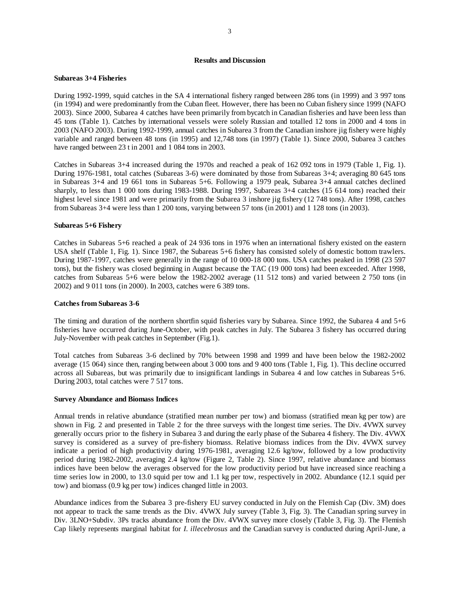### **Results and Discussion**

# **Subareas 3+4 Fisheries**

During 1992-1999, squid catches in the SA 4 international fishery ranged between 286 tons (in 1999) and 3 997 tons (in 1994) and were predominantly from the Cuban fleet. However, there has been no Cuban fishery since 1999 (NAFO 2003). Since 2000, Subarea 4 catches have been primarily from bycatch in Canadian fisheries and have been less than 45 tons (Table 1). Catches by international vessels were solely Russian and totalled 12 tons in 2000 and 4 tons in 2003 (NAFO 2003). During 1992-1999, annual catches in Subarea 3 from the Canadian inshore jig fishery were highly variable and ranged between 48 tons (in 1995) and 12,748 tons (in 1997) (Table 1). Since 2000, Subarea 3 catches have ranged between 23 t in 2001 and 1 084 tons in 2003.

Catches in Subareas 3+4 increased during the 1970s and reached a peak of 162 092 tons in 1979 (Table 1, Fig. 1). During 1976-1981, total catches (Subareas 3-6) were dominated by those from Subareas 3+4; averaging 80 645 tons in Subareas 3+4 and 19 661 tons in Subareas 5+6. Following a 1979 peak, Subarea 3+4 annual catches declined sharply, to less than 1 000 tons during 1983-1988. During 1997, Subareas 3+4 catches (15 614 tons) reached their highest level since 1981 and were primarily from the Subarea 3 inshore jig fishery (12 748 tons). After 1998, catches from Subareas 3+4 were less than 1 200 tons, varying between 57 tons (in 2001) and 1 128 tons (in 2003).

### **Subareas 5+6 Fishery**

Catches in Subareas 5+6 reached a peak of 24 936 tons in 1976 when an international fishery existed on the eastern USA shelf (Table 1, Fig. 1). Since 1987, the Subareas 5+6 fishery has consisted solely of domestic bottom trawlers. During 1987-1997, catches were generally in the range of 10 000-18 000 tons. USA catches peaked in 1998 (23 597 tons), but the fishery was closed beginning in August because the TAC (19 000 tons) had been exceeded. After 1998, catches from Subareas 5+6 were below the 1982-2002 average (11 512 tons) and varied between 2 750 tons (in 2002) and 9 011 tons (in 2000). In 2003, catches were 6 389 tons.

# **Catches from Subareas 3-6**

The timing and duration of the northern shortfin squid fisheries vary by Subarea. Since 1992, the Subarea 4 and 5+6 fisheries have occurred during June-October, with peak catches in July. The Subarea 3 fishery has occurred during July-November with peak catches in September (Fig.1).

Total catches from Subareas 3-6 declined by 70% between 1998 and 1999 and have been below the 1982-2002 average (15 064) since then, ranging between about 3 000 tons and 9 400 tons (Table 1, Fig. 1). This decline occurred across all Subareas, but was primarily due to insignificant landings in Subarea 4 and low catches in Subareas 5+6. During 2003, total catches were 7 517 tons.

### **Survey Abundance and Biomass Indices**

Annual trends in relative abundance (stratified mean number per tow) and biomass (stratified mean kg per tow) are shown in Fig. 2 and presented in Table 2 for the three surveys with the longest time series. The Div. 4VWX survey generally occurs prior to the fishery in Subarea 3 and during the early phase of the Subarea 4 fishery. The Div. 4VWX survey is considered as a survey of pre-fishery biomass. Relative biomass indices from the Div. 4VWX survey indicate a period of high productivity during 1976-1981, averaging 12.6 kg/tow, followed by a low productivity period during 1982-2002, averaging 2.4 kg/tow (Figure 2, Table 2). Since 1997, relative abundance and biomass indices have been below the averages observed for the low productivity period but have increased since reaching a time series low in 2000, to 13.0 squid per tow and 1.1 kg per tow, respectively in 2002. Abundance (12.1 squid per tow) and biomass (0.9 kg per tow) indices changed little in 2003.

Abundance indices from the Subarea 3 pre-fishery EU survey conducted in July on the Flemish Cap (Div. 3M) does not appear to track the same trends as the Div. 4VWX July survey (Table 3, Fig. 3). The Canadian spring survey in Div. 3LNO+Subdiv. 3Ps tracks abundance from the Div. 4VWX survey more closely (Table 3, Fig. 3). The Flemish Cap likely represents marginal habitat for *I. illecebrosus* and the Canadian survey is conducted during April-June, a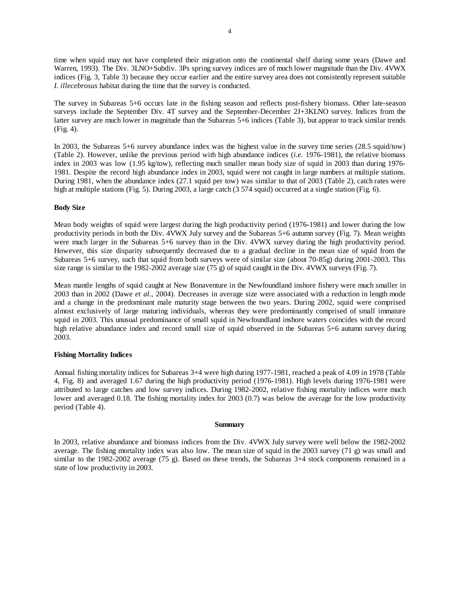time when squid may not have completed their migration onto the continental shelf during some years (Dawe and Warren, 1993). The Div. 3LNO+Subdiv. 3Ps spring survey indices are of much lower magnitude than the Div. 4VWX indices (Fig. 3, Table 3) because they occur earlier and the entire survey area does not consistently represent suitable *I. illecebrosus* habitat during the time that the survey is conducted.

The survey in Subareas 5+6 occurs late in the fishing season and reflects post-fishery biomass. Other late-season surveys include the September Div. 4T survey and the September-December 2J+3KLNO survey. Indices from the latter survey are much lower in magnitude than the Subareas 5+6 indices (Table 3), but appear to track similar trends (Fig. 4).

In 2003, the Subareas 5+6 survey abundance index was the highest value in the survey time series (28.5 squid/tow) (Table 2). However, unlike the previous period with high abundance indices (*i.e.* 1976-1981), the relative biomass index in 2003 was low (1.95 kg/tow), reflecting much smaller mean body size of squid in 2003 than during 1976- 1981. Despite the record high abundance index in 2003, squid were not caught in large numbers at multiple stations. During 1981, when the abundance index (27.1 squid per tow) was similar to that of 2003 (Table 2), catch rates were high at multiple stations (Fig. 5). During 2003, a large catch (3 574 squid) occurred at a single station (Fig. 6).

### **Body Size**

Mean body weights of squid were largest during the high productivity period (1976-1981) and lower during the low productivity periods in both the Div. 4VWX July survey and the Subareas 5+6 autumn survey (Fig. 7). Mean weights were much larger in the Subareas 5+6 survey than in the Div. 4VWX survey during the high productivity period. However, this size disparity subsequently decreased due to a gradual decline in the mean size of squid from the Subareas 5+6 survey, such that squid from both surveys were of similar size (about 70-85g) during 2001-2003. This size range is similar to the 1982-2002 average size (75 g) of squid caught in the Div. 4VWX surveys (Fig. 7).

Mean mantle lengths of squid caught at New Bonaventure in the Newfoundland inshore fishery were much smaller in 2003 than in 2002 (Dawe *et al.*, 2004). Decreases in average size were associated with a reduction in length mode and a change in the predominant male maturity stage between the two years. During 2002, squid were comprised almost exclusively of large maturing individuals, whereas they were predominantly comprised of small immature squid in 2003. This unusual predominance of small squid in Newfoundland inshore waters coincides with the record high relative abundance index and record small size of squid observed in the Subareas 5+6 autumn survey during 2003.

# **Fishing Mortality Indices**

Annual fishing mortality indices for Subareas 3+4 were high during 1977-1981, reached a peak of 4.09 in 1978 (Table 4, Fig. 8) and averaged 1.67 during the high productivity period (1976-1981). High levels during 1976-1981 were attributed to large catches and low survey indices. During 1982-2002, relative fishing mortality indices were much lower and averaged 0.18. The fishing mortality index for 2003 (0.7) was below the average for the low productivity period (Table 4).

### **Summary**

In 2003, relative abundance and biomass indices from the Div. 4VWX July survey were well below the 1982-2002 average. The fishing mortality index was also low. The mean size of squid in the 2003 survey (71 g) was small and similar to the 1982-2002 average (75 g). Based on these trends, the Subareas 3+4 stock components remained in a state of low productivity in 2003.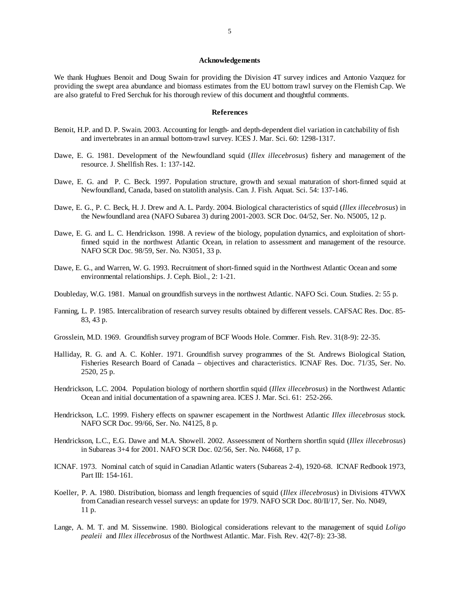#### **Acknowledgements**

We thank Hughues Benoit and Doug Swain for providing the Division 4T survey indices and Antonio Vazquez for providing the swept area abundance and biomass estimates from the EU bottom trawl survey on the Flemish Cap. We are also grateful to Fred Serchuk for his thorough review of this document and thoughtful comments.

#### **References**

- Benoit, H.P. and D. P. Swain. 2003. Accounting for length- and depth-dependent diel variation in catchability of fish and invertebrates in an annual bottom-trawl survey. ICES J. Mar. Sci. 60: 1298-1317.
- Dawe, E. G. 1981. Development of the Newfoundland squid (*Illex illecebrosus*) fishery and management of the resource. J. Shellfish Res. 1: 137-142.
- Dawe, E. G. and P. C. Beck. 1997. Population structure, growth and sexual maturation of short-finned squid at Newfoundland, Canada, based on statolith analysis. Can. J. Fish. Aquat. Sci. 54: 137-146.
- Dawe, E. G., P. C. Beck, H. J. Drew and A. L. Pardy. 2004. Biological characteristics of squid (*Illex illecebrosus*) in the Newfoundland area (NAFO Subarea 3) during 2001-2003. SCR Doc. 04/52, Ser. No. N5005, 12 p.
- Dawe, E. G. and L. C. Hendrickson. 1998. A review of the biology, population dynamics, and exploitation of shortfinned squid in the northwest Atlantic Ocean, in relation to assessment and management of the resource. NAFO SCR Doc. 98/59, Ser. No. N3051, 33 p.
- Dawe, E. G., and Warren, W. G. 1993. Recruitment of short-finned squid in the Northwest Atlantic Ocean and some environmental relationships. J. Ceph. Biol., 2: 1-21.
- Doubleday, W.G. 1981. Manual on groundfish surveys in the northwest Atlantic. NAFO Sci. Coun. Studies. 2: 55 p.
- Fanning, L. P. 1985. Intercalibration of research survey results obtained by different vessels. CAFSAC Res. Doc. 85- 83, 43 p.
- Grosslein, M.D. 1969. Groundfish survey program of BCF Woods Hole. Commer. Fish. Rev. 31(8-9): 22-35.
- Halliday, R. G. and A. C. Kohler. 1971. Groundfish survey programmes of the St. Andrews Biological Station, Fisheries Research Board of Canada – objectives and characteristics. ICNAF Res. Doc. 71/35, Ser. No. 2520, 25 p.
- Hendrickson, L.C. 2004. Population biology of northern shortfin squid (*Illex illecebrosus*) in the Northwest Atlantic Ocean and initial documentation of a spawning area. ICES J. Mar. Sci. 61: 252-266.
- Hendrickson, L.C. 1999. Fishery effects on spawner escapement in the Northwest Atlantic *Illex illecebrosus* stock. NAFO SCR Doc. 99/66, Ser. No. N4125, 8 p.
- Hendrickson, L.C., E.G. Dawe and M.A. Showell. 2002. Asseessment of Northern shortfin squid (*Illex illecebrosus*) in Subareas 3+4 for 2001. NAFO SCR Doc. 02/56, Ser. No. N4668, 17 p.
- ICNAF. 1973. Nominal catch of squid in Canadian Atlantic waters (Subareas 2-4), 1920-68. ICNAF Redbook 1973, Part III: 154-161.
- Koeller, P. A. 1980. Distribution, biomass and length frequencies of squid (*Illex illecebrosus*) in Divisions 4TVWX from Canadian research vessel surveys: an update for 1979. NAFO SCR Doc. 80/II/17, Ser. No. N049, 11 p.
- Lange, A. M. T. and M. Sissenwine. 1980. Biological considerations relevant to the management of squid *Loligo pealeii* and *Illex illecebrosus* of the Northwest Atlantic. Mar. Fish. Rev. 42(7-8): 23-38.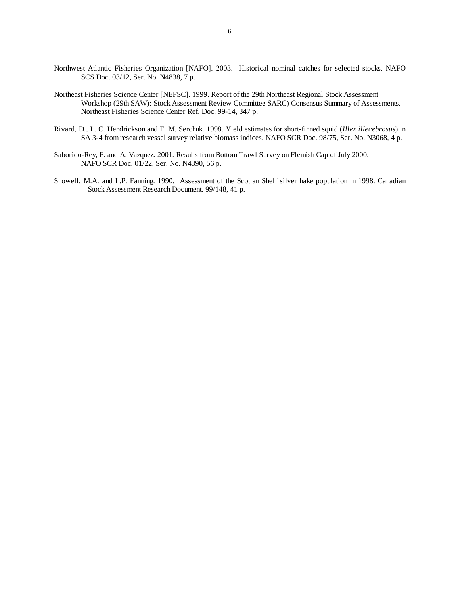- Northwest Atlantic Fisheries Organization [NAFO]. 2003. Historical nominal catches for selected stocks. NAFO SCS Doc. 03/12, Ser. No. N4838, 7 p.
- Northeast Fisheries Science Center [NEFSC]. 1999. Report of the 29th Northeast Regional Stock Assessment Workshop (29th SAW): Stock Assessment Review Committee SARC) Consensus Summary of Assessments. Northeast Fisheries Science Center Ref. Doc. 99-14, 347 p.
- Rivard, D., L. C. Hendrickson and F. M. Serchuk. 1998. Yield estimates for short-finned squid (*Illex illecebrosus*) in SA 3-4 from research vessel survey relative biomass indices. NAFO SCR Doc. 98/75, Ser. No. N3068, 4 p.
- Saborido-Rey, F. and A. Vazquez. 2001. Results from Bottom Trawl Survey on Flemish Cap of July 2000. NAFO SCR Doc. 01/22, Ser. No. N4390, 56 p.
- Showell, M.A. and L.P. Fanning. 1990. Assessment of the Scotian Shelf silver hake population in 1998. Canadian Stock Assessment Research Document. 99/148, 41 p.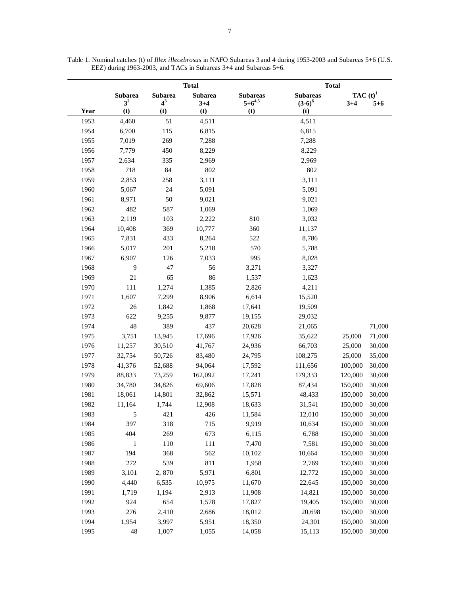|      |                                  | <b>Total</b>            |                           |                                  | <b>Total</b>                 |                        |         |  |
|------|----------------------------------|-------------------------|---------------------------|----------------------------------|------------------------------|------------------------|---------|--|
|      | <b>Subarea</b><br>3 <sup>2</sup> | <b>Subarea</b><br>$4^3$ | <b>Subarea</b><br>$3 + 4$ | <b>Subareas</b><br>$5 + 6^{4,5}$ | <b>Subareas</b><br>$(3-6)^6$ | TAC $(t)^1$<br>$3 + 4$ | $5 + 6$ |  |
| Year | (t)                              | (t)                     | (t)                       | (t)                              | (t)                          |                        |         |  |
| 1953 | 4,460                            | 51                      | 4,511                     |                                  | 4,511                        |                        |         |  |
| 1954 | 6,700                            | 115                     | 6,815                     |                                  | 6,815                        |                        |         |  |
| 1955 | 7,019                            | 269                     | 7,288                     |                                  | 7,288                        |                        |         |  |
| 1956 | 7,779                            | 450                     | 8,229                     |                                  | 8,229                        |                        |         |  |
| 1957 | 2,634                            | 335                     | 2,969                     |                                  | 2,969                        |                        |         |  |
| 1958 | 718                              | 84                      | 802                       |                                  | 802                          |                        |         |  |
| 1959 | 2,853                            | 258                     | 3,111                     |                                  | 3,111                        |                        |         |  |
| 1960 | 5,067                            | 24                      | 5,091                     |                                  | 5,091                        |                        |         |  |
| 1961 | 8,971                            | 50                      | 9,021                     |                                  | 9,021                        |                        |         |  |
| 1962 | 482                              | 587                     | 1,069                     |                                  | 1,069                        |                        |         |  |
| 1963 | 2,119                            | 103                     | 2,222                     | 810                              | 3,032                        |                        |         |  |
| 1964 | 10,408                           | 369                     | 10,777                    | 360                              | 11,137                       |                        |         |  |
| 1965 | 7,831                            | 433                     | 8,264                     | 522                              | 8,786                        |                        |         |  |
| 1966 | 5,017                            | 201                     | 5,218                     | 570                              | 5,788                        |                        |         |  |
| 1967 | 6,907                            | 126                     | 7,033                     | 995                              | 8,028                        |                        |         |  |
| 1968 | 9                                | 47                      | 56                        | 3,271                            | 3,327                        |                        |         |  |
| 1969 | 21                               | 65                      | 86                        | 1,537                            | 1,623                        |                        |         |  |
| 1970 | 111                              | 1,274                   | 1,385                     | 2,826                            | 4,211                        |                        |         |  |
| 1971 | 1,607                            | 7,299                   | 8,906                     | 6,614                            | 15,520                       |                        |         |  |
| 1972 | 26                               | 1,842                   | 1,868                     | 17,641                           | 19,509                       |                        |         |  |
| 1973 | 622                              | 9,255                   | 9,877                     | 19,155                           | 29,032                       |                        |         |  |
| 1974 | 48                               | 389                     | 437                       | 20,628                           | 21,065                       |                        | 71,000  |  |
| 1975 | 3,751                            | 13,945                  | 17,696                    | 17,926                           | 35,622                       | 25,000                 | 71,000  |  |
| 1976 | 11,257                           | 30,510                  | 41,767                    | 24,936                           | 66,703                       | 25,000                 | 30,000  |  |
| 1977 | 32,754                           | 50,726                  | 83,480                    | 24,795                           | 108,275                      | 25,000                 | 35,000  |  |
| 1978 | 41,376                           | 52,688                  | 94,064                    | 17,592                           | 111,656                      | 100,000                | 30,000  |  |
| 1979 | 88,833                           | 73,259                  | 162,092                   | 17,241                           | 179,333                      | 120,000                | 30,000  |  |
| 1980 | 34,780                           | 34,826                  | 69,606                    | 17,828                           | 87,434                       | 150,000                | 30,000  |  |
| 1981 | 18,061                           | 14,801                  | 32,862                    | 15,571                           | 48,433                       | 150,000                | 30,000  |  |
| 1982 | 11,164                           | 1,744                   | 12,908                    | 18,633                           | 31,541                       | 150,000                | 30,000  |  |
| 1983 | 5                                | 421                     | 426                       | 11,584                           | 12,010                       | 150,000                | 30,000  |  |
| 1984 | 397                              | 318                     | 715                       | 9,919                            | 10,634                       | 150,000                | 30,000  |  |
| 1985 | 404                              | 269                     | 673                       | 6,115                            | 6,788                        | 150,000                | 30,000  |  |
| 1986 | $\mathbf{1}$                     | 110                     | 111                       | 7,470                            | 7,581                        | 150,000                | 30,000  |  |
| 1987 | 194                              | 368                     | 562                       | 10,102                           | 10,664                       | 150,000                | 30,000  |  |
| 1988 | 272                              | 539                     | 811                       | 1,958                            | 2,769                        | 150,000                | 30,000  |  |
| 1989 | 3,101                            | 2,870                   | 5,971                     | 6,801                            | 12,772                       | 150,000                | 30,000  |  |
| 1990 | 4,440                            | 6,535                   | 10,975                    | 11,670                           | 22,645                       | 150,000                | 30,000  |  |
| 1991 | 1,719                            | 1,194                   | 2,913                     | 11,908                           | 14,821                       | 150,000                | 30,000  |  |
| 1992 | 924                              | 654                     | 1,578                     | 17,827                           | 19,405                       | 150,000                | 30,000  |  |
| 1993 | 276                              | 2,410                   | 2,686                     | 18,012                           | 20,698                       | 150,000                | 30,000  |  |
| 1994 | 1,954                            | 3,997                   | 5,951                     | 18,350                           | 24,301                       | 150,000                | 30,000  |  |
|      |                                  |                         |                           |                                  |                              |                        |         |  |

Table 1. Nominal catches (t) of *Illex illecebrosus* in NAFO Subareas 3 and 4 during 1953-2003 and Subareas 5+6 (U.S. EEZ) during 1963-2003, and TACs in Subareas 3+4 and Subareas 5+6.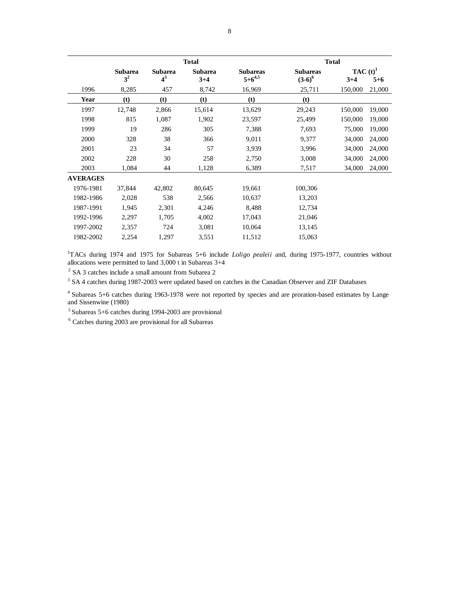|                 | <b>Total</b>                     |                         |                           |                                  | <b>Total</b>                 |                      |         |  |
|-----------------|----------------------------------|-------------------------|---------------------------|----------------------------------|------------------------------|----------------------|---------|--|
|                 | <b>Subarea</b><br>3 <sup>2</sup> | <b>Subarea</b><br>$4^3$ | <b>Subarea</b><br>$3 + 4$ | <b>Subareas</b><br>$5 + 6^{4,5}$ | <b>Subareas</b><br>$(3-6)^6$ | TAC $(t)^1$<br>$3+4$ | $5 + 6$ |  |
| 1996            | 8,285                            | 457                     | 8,742                     | 16,969                           | 25,711                       | 150,000              | 21,000  |  |
| Year            | (t)                              | (t)                     | (t)                       | (t)                              | (t)                          |                      |         |  |
| 1997            | 12,748                           | 2,866                   | 15,614                    | 13,629                           | 29,243                       | 150,000              | 19,000  |  |
| 1998            | 815                              | 1,087                   | 1,902                     | 23,597                           | 25,499                       | 150,000              | 19,000  |  |
| 1999            | 19                               | 286                     | 305                       | 7,388                            | 7,693                        | 75,000               | 19,000  |  |
| 2000            | 328                              | 38                      | 366                       | 9,011                            | 9,377                        | 34,000               | 24,000  |  |
| 2001            | 23                               | 34                      | 57                        | 3,939                            | 3,996                        | 34,000               | 24,000  |  |
| 2002            | 228                              | 30                      | 258                       | 2,750                            | 3,008                        | 34,000               | 24,000  |  |
| 2003            | 1,084                            | 44                      | 1,128                     | 6,389                            | 7,517                        | 34,000               | 24,000  |  |
| <b>AVERAGES</b> |                                  |                         |                           |                                  |                              |                      |         |  |
| 1976-1981       | 37,844                           | 42,802                  | 80,645                    | 19,661                           | 100,306                      |                      |         |  |
| 1982-1986       | 2,028                            | 538                     | 2,566                     | 10,637                           | 13,203                       |                      |         |  |
| 1987-1991       | 1,945                            | 2,301                   | 4,246                     | 8,488                            | 12,734                       |                      |         |  |
| 1992-1996       | 2,297                            | 1,705                   | 4,002                     | 17,043                           | 21,046                       |                      |         |  |
| 1997-2002       | 2,357                            | 724                     | 3,081                     | 10,064                           | 13,145                       |                      |         |  |
| 1982-2002       | 2,254                            | 1,297                   | 3,551                     | 11,512                           | 15,063                       |                      |         |  |

<sup>1</sup>TACs during 1974 and 1975 for Subareas 5+6 include *Loligo pealeii* and, during 1975-1977, countries without allocations were permitted to land 3,000 t in Subareas 3+4

<sup>2</sup> SA 3 catches include a small amount from Subarea 2

<sup>3</sup> SA 4 catches during 1987-2003 were updated based on catches in the Canadian Observer and ZIF Databases

4 Subareas 5+6 catches during 1963-1978 were not reported by species and are proration-based estimates by Lange and Sissenwine (1980)

5 Subareas 5+6 catches during 1994-2003 are provisional

6 Catches during 2003 are provisional for all Subareas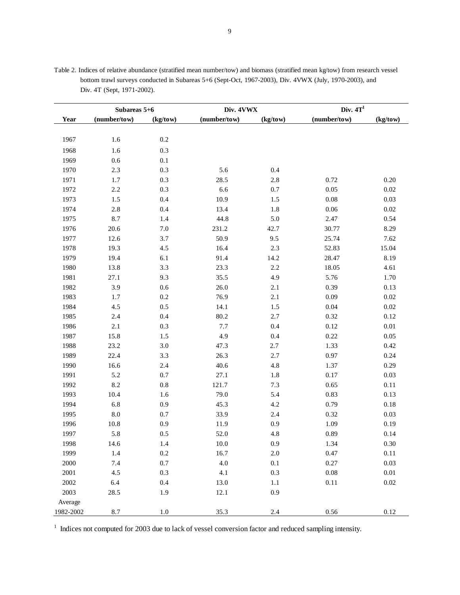|           | Subareas 5+6 |          | Div. 4VWX    |          | Div. $4T1$   |          |  |
|-----------|--------------|----------|--------------|----------|--------------|----------|--|
| Year      | (number/tow) | (kg/tow) | (number/tow) | (kg/tow) | (number/tow) | (kg/tow) |  |
|           |              |          |              |          |              |          |  |
| 1967      | 1.6          | $0.2\,$  |              |          |              |          |  |
| 1968      | 1.6          | 0.3      |              |          |              |          |  |
| 1969      | $0.6\,$      | $0.1\,$  |              |          |              |          |  |
| 1970      | $2.3\,$      | 0.3      | 5.6          | 0.4      |              |          |  |
| 1971      | $1.7\,$      | 0.3      | 28.5         | 2.8      | 0.72         | 0.20     |  |
| 1972      | $2.2\,$      | 0.3      | 6.6          | $0.7\,$  | 0.05         | $0.02\,$ |  |
| 1973      | 1.5          | $0.4\,$  | 10.9         | 1.5      | 0.08         | 0.03     |  |
| 1974      | $2.8\,$      | 0.4      | 13.4         | 1.8      | $0.06\,$     | $0.02\,$ |  |
| 1975      | 8.7          | 1.4      | 44.8         | 5.0      | 2.47         | 0.54     |  |
| 1976      | 20.6         | $7.0\,$  | 231.2        | 42.7     | 30.77        | 8.29     |  |
| 1977      | 12.6         | 3.7      | 50.9         | 9.5      | 25.74        | 7.62     |  |
| 1978      | 19.3         | 4.5      | 16.4         | 2.3      | 52.83        | 15.04    |  |
| 1979      | 19.4         | 6.1      | 91.4         | 14.2     | 28.47        | 8.19     |  |
| 1980      | 13.8         | 3.3      | 23.3         | 2.2      | 18.05        | 4.61     |  |
| 1981      | 27.1         | 9.3      | 35.5         | 4.9      | 5.76         | 1.70     |  |
| 1982      | 3.9          | $0.6\,$  | 26.0         | $2.1\,$  | 0.39         | 0.13     |  |
| 1983      | 1.7          | $0.2\,$  | 76.9         | $2.1\,$  | 0.09         | 0.02     |  |
| 1984      | 4.5          | 0.5      | 14.1         | 1.5      | 0.04         | $0.02\,$ |  |
| 1985      | 2.4          | $0.4\,$  | 80.2         | 2.7      | 0.32         | 0.12     |  |
| 1986      | $2.1\,$      | 0.3      | 7.7          | 0.4      | 0.12         | $0.01\,$ |  |
| 1987      | 15.8         | $1.5$    | 4.9          | 0.4      | 0.22         | 0.05     |  |
| 1988      | 23.2         | $3.0\,$  | 47.3         | $2.7\,$  | 1.33         | 0.42     |  |
| 1989      | 22.4         | 3.3      | 26.3         | 2.7      | 0.97         | 0.24     |  |
| 1990      | 16.6         | 2.4      | 40.6         | 4.8      | 1.37         | 0.29     |  |
| 1991      | 5.2          | $0.7\,$  | 27.1         | $1.8\,$  | 0.17         | 0.03     |  |
| 1992      | 8.2          | $0.8\,$  | 121.7        | 7.3      | 0.65         | $0.11\,$ |  |
| 1993      | 10.4         | 1.6      | 79.0         | 5.4      | 0.83         | 0.13     |  |
| 1994      | 6.8          | 0.9      | 45.3         | 4.2      | 0.79         | $0.18\,$ |  |
| 1995      | $8.0\,$      | 0.7      | 33.9         | 2.4      | 0.32         | 0.03     |  |
| 1996      | 10.8         | 0.9      | 11.9         | 0.9      | 1.09         | 0.19     |  |
| 1997      | 5.8          | $0.5\,$  | 52.0         | 4.8      | 0.89         | 0.14     |  |
| 1998      | 14.6         | 1.4      | $10.0\,$     | 0.9      | 1.34         | 0.30     |  |
| 1999      | $1.4\,$      | $0.2\,$  | 16.7         | $2.0\,$  | 0.47         | 0.11     |  |
| 2000      | 7.4          | 0.7      | 4.0          | $0.1\,$  | 0.27         | 0.03     |  |
| 2001      | 4.5          | 0.3      | 4.1          | 0.3      | $0.08\,$     | $0.01\,$ |  |
| $2002\,$  | 6.4          | 0.4      | 13.0         | 1.1      | 0.11         | $0.02\,$ |  |
| 2003      | 28.5         | 1.9      | 12.1         | 0.9      |              |          |  |
| Average   |              |          |              |          |              |          |  |
| 1982-2002 | 8.7          | $1.0\,$  | 35.3         | 2.4      | $0.56\,$     | $0.12\,$ |  |

Table 2. Indices of relative abundance (stratified mean number/tow) and biomass (stratified mean kg/tow) from research vessel bottom trawl surveys conducted in Subareas 5+6 (Sept-Oct, 1967-2003), Div. 4VWX (July, 1970-2003), and Div. 4T (Sept, 1971-2002).

<sup>1</sup> Indices not computed for 2003 due to lack of vessel conversion factor and reduced sampling intensity.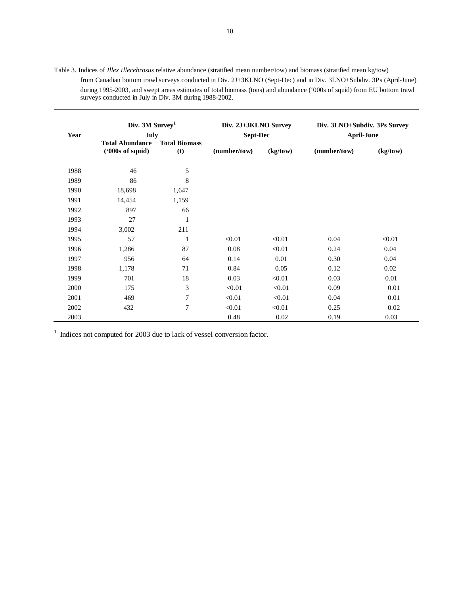|      | Div. 3M Survey <sup>1</sup>    |                      | Div. 2J+3KLNO Survey |          | Div. 3LNO+Subdiv. 3Ps Survey |          |
|------|--------------------------------|----------------------|----------------------|----------|------------------------------|----------|
| Year | July<br><b>Total Abundance</b> | <b>Total Biomass</b> | <b>Sept-Dec</b>      |          | <b>April-June</b>            |          |
|      | (900s of equid)                | (t)                  | (number/tow)         | (kg/tow) | (number/tow)                 | (kg/tow) |
| 1988 | 46                             | 5                    |                      |          |                              |          |
| 1989 | 86                             | 8                    |                      |          |                              |          |
| 1990 | 18,698                         | 1,647                |                      |          |                              |          |
| 1991 | 14,454                         | 1,159                |                      |          |                              |          |
| 1992 | 897                            | 66                   |                      |          |                              |          |
| 1993 | 27                             | 1                    |                      |          |                              |          |
| 1994 | 3,002                          | 211                  |                      |          |                              |          |
| 1995 | 57                             | 1                    | < 0.01               | < 0.01   | 0.04                         | < 0.01   |
| 1996 | 1,286                          | 87                   | 0.08                 | < 0.01   | 0.24                         | 0.04     |
| 1997 | 956                            | 64                   | 0.14                 | 0.01     | 0.30                         | 0.04     |
| 1998 | 1,178                          | 71                   | 0.84                 | 0.05     | 0.12                         | 0.02     |
| 1999 | 701                            | 18                   | 0.03                 | < 0.01   | 0.03                         | 0.01     |
| 2000 | 175                            | 3                    | < 0.01               | < 0.01   | 0.09                         | 0.01     |
| 2001 | 469                            | 7                    | < 0.01               | < 0.01   | 0.04                         | 0.01     |
| 2002 | 432                            | $\overline{7}$       | < 0.01               | < 0.01   | 0.25                         | 0.02     |
| 2003 |                                |                      | 0.48                 | 0.02     | 0.19                         | 0.03     |

Table 3. Indices of *Illex illecebrosus* relative abundance (stratified mean number/tow) and biomass (stratified mean kg/tow) from Canadian bottom trawl surveys conducted in Div. 2J+3KLNO (Sept-Dec) and in Div. 3LNO+Subdiv. 3Ps (April-June) during 1995-2003, and swept areas estimates of total biomass (tons) and abundance ('000s of squid) from EU bottom trawl surveys conducted in July in Div. 3M during 1988-2002.

<sup>1</sup> Indices not computed for 2003 due to lack of vessel conversion factor.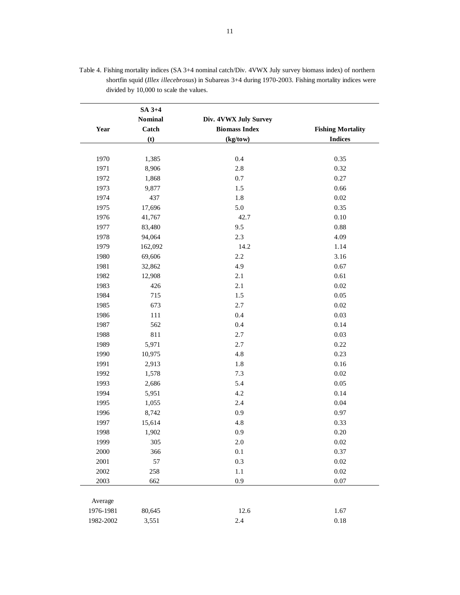| SA 3+4    |                |                       |                          |
|-----------|----------------|-----------------------|--------------------------|
|           | <b>Nominal</b> | Div. 4VWX July Survey |                          |
| Year      | Catch          | <b>Biomass Index</b>  | <b>Fishing Mortality</b> |
|           | (t)            | (kg/tow)              | <b>Indices</b>           |
|           |                |                       |                          |
| 1970      | 1,385          | 0.4                   | 0.35                     |
| 1971      | 8,906          | 2.8                   | 0.32                     |
| 1972      | 1,868          | 0.7                   | 0.27                     |
| 1973      | 9,877          | 1.5                   | 0.66                     |
| 1974      | 437            | 1.8                   | 0.02                     |
| 1975      | 17,696         | 5.0                   | 0.35                     |
| 1976      | 41,767         | 42.7                  | 0.10                     |
| 1977      | 83,480         | 9.5                   | 0.88                     |
| 1978      | 94,064         | 2.3                   | 4.09                     |
| 1979      | 162,092        | 14.2                  | 1.14                     |
| 1980      | 69,606         | 2.2                   | 3.16                     |
| 1981      | 32,862         | 4.9                   | 0.67                     |
| 1982      | 12,908         | 2.1                   | 0.61                     |
| 1983      | 426            | 2.1                   | 0.02                     |
| 1984      | 715            | 1.5                   | 0.05                     |
| 1985      | 673            | 2.7                   | 0.02                     |
| 1986      | 111            | 0.4                   | 0.03                     |
| 1987      | 562            | 0.4                   | 0.14                     |
| 1988      | 811            | 2.7                   | 0.03                     |
| 1989      | 5,971          | 2.7                   | 0.22                     |
| 1990      | 10,975         | 4.8                   | 0.23                     |
| 1991      | 2,913          | $1.8\,$               | 0.16                     |
| 1992      | 1,578          | 7.3                   | 0.02                     |
| 1993      | 2,686          | 5.4                   | 0.05                     |
| 1994      | 5,951          | 4.2                   | 0.14                     |
| 1995      | 1,055          | 2.4                   | 0.04                     |
| 1996      | 8,742          | 0.9                   | 0.97                     |
| 1997      | 15,614         | 4.8                   | 0.33                     |
| 1998      | 1,902          | 0.9                   | 0.20                     |
| 1999      | 305            | $2.0\,$               | $0.02\,$                 |
| 2000      | 366            | 0.1                   | 0.37                     |
| 2001      | 57             | 0.3                   | 0.02                     |
| 2002      | 258            | $1.1\,$               | $0.02\,$                 |
| 2003      | 662            | 0.9                   | 0.07                     |
|           |                |                       |                          |
| Average   |                |                       |                          |
| 1976-1981 | 80,645         | 12.6                  | 1.67                     |
| 1982-2002 | 3,551          | 2.4                   | $0.18\,$                 |

Table 4. Fishing mortality indices (SA 3+4 nominal catch/Div. 4VWX July survey biomass index) of northern shortfin squid (*Illex illecebrosus*) in Subareas 3+4 during 1970-2003. Fishing mortality indices were divided by 10,000 to scale the values.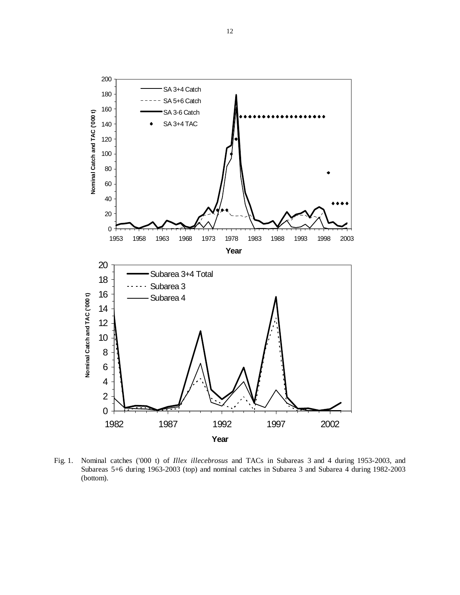

Fig. 1.Nominal catches ('000 t) of *Illex illecebrosus* and TACs in Subareas 3 and 4 during 1953-2003, and Subareas 5+6 during 1963-2003 (top) and nominal catches in Subarea 3 and Subarea 4 during 1982-2003 (bottom).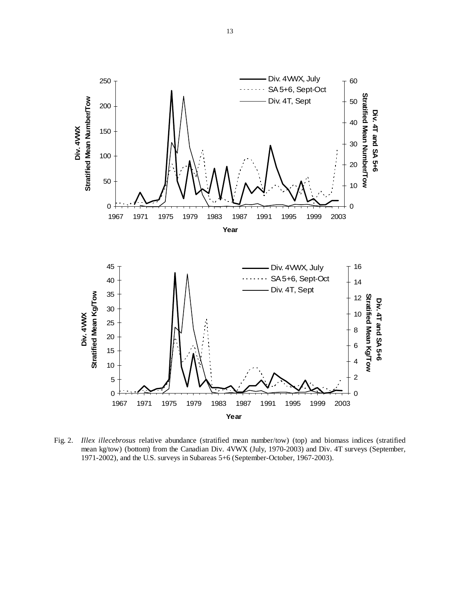

Fig. 2. *Illex illecebrosus* relative abundance (stratified mean number/tow) (top) and biomass indices (stratified mean kg/tow) (bottom) from the Canadian Div. 4VWX (July, 1970-2003) and Div. 4T surveys (September, 1971-2002), and the U.S. surveys in Subareas 5+6 (September-October, 1967-2003).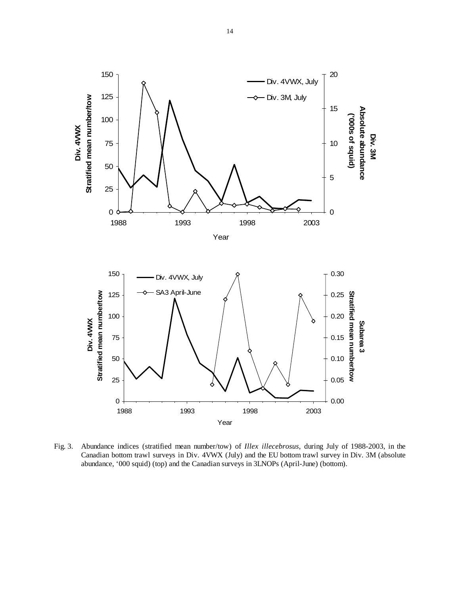

Fig. 3. Abundance indices (stratified mean number/tow) of *Illex illecebrosus*, during July of 1988-2003, in the Canadian bottom trawl surveys in Div. 4VWX (July) and the EU bottom trawl survey in Div. 3M (absolute abundance, '000 squid) (top) and the Canadian surveys in 3LNOPs (April-June) (bottom).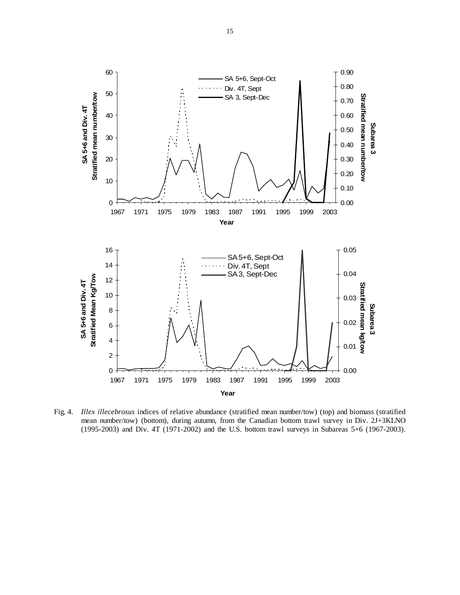

Fig. 4. *Illex illecebrosus* indices of relative abundance (stratified mean number/tow) (top) and biomass (stratified mean number/tow) (bottom), during autumn, from the Canadian bottom trawl survey in Div. 2J+3KLNO (1995-2003) and Div. 4T (1971-2002) and the U.S. bottom trawl surveys in Subareas 5+6 (1967-2003).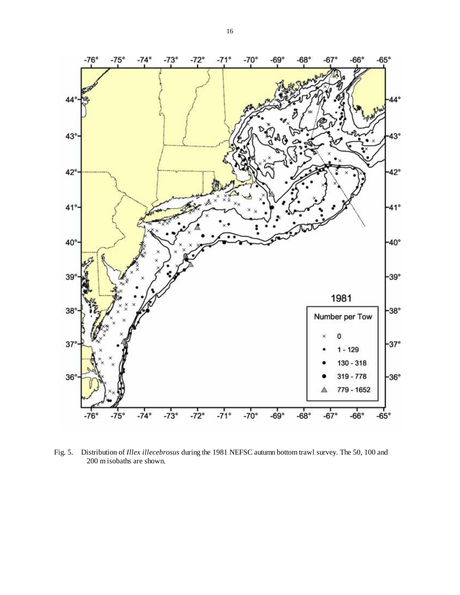

Fig. 5. Distribution of *Illex illecebrosus* during the 1981 NEFSC autumn bottom trawl survey. The 50, 100 and 200 m isobaths are shown.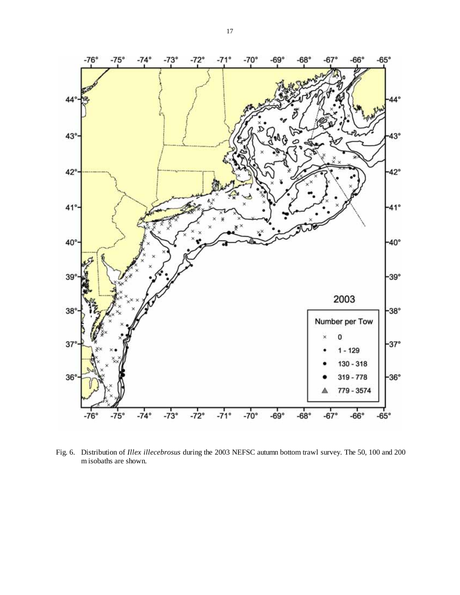

 Fig. 6. Distribution of *Illex illecebrosus* during the 2003 NEFSC autumn bottom trawl survey. The 50, 100 and 200 m isobaths are shown.